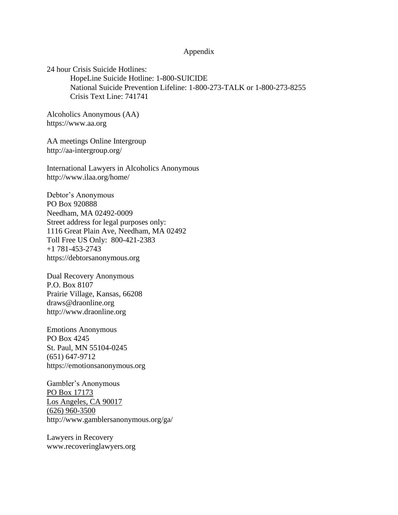#### Appendix

24 hour Crisis Suicide Hotlines: HopeLine Suicide Hotline: 1-800-SUICIDE National Suicide Prevention Lifeline: 1-800-273-TALK or 1-800-273-8255 Crisis Text Line: 741741

Alcoholics Anonymous (AA) https://www.aa.org

AA meetings Online Intergroup http://aa-intergroup.org/

International Lawyers in Alcoholics Anonymous http://www.ilaa.org/home/

Debtor's Anonymous PO Box 920888 Needham, MA 02492-0009 Street address for legal purposes only: 1116 Great Plain Ave, Needham, MA 02492 Toll Free US Only: 800-421-2383 +1 781-453-2743 https://debtorsanonymous.org

Dual Recovery Anonymous P.O. Box 8107 Prairie Village, Kansas, 66208 draws@draonline.org http://www.draonline.org

Emotions Anonymous PO Box 4245 St. Paul, MN 55104-0245 (651) 647-9712 https://emotionsanonymous.org

Gambler's Anonymous PO Box 17173 Los Angeles, CA 90017 (626) 960-3500 http://www.gamblersanonymous.org/ga/

Lawyers in Recovery www.recoveringlawyers.org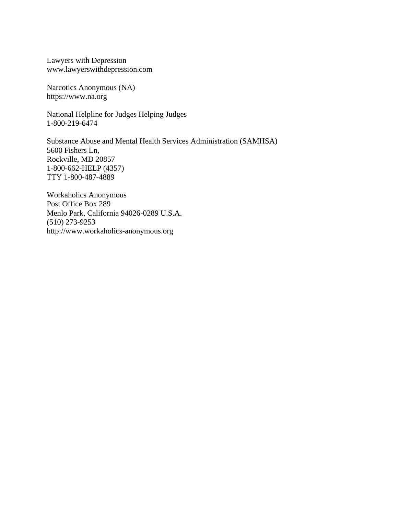Lawyers with Depression www.lawyerswithdepression.com

Narcotics Anonymous (NA) https://www.na.org

National Helpline for Judges Helping Judges 1-800-219-6474

Substance Abuse and Mental Health Services Administration (SAMHSA) 5600 Fishers Ln, Rockville, MD 20857 1-800-662-HELP (4357) TTY 1-800-487-4889

Workaholics Anonymous Post Office Box 289 Menlo Park, California 94026-0289 U.S.A. (510) 273-9253 http://www.workaholics-anonymous.org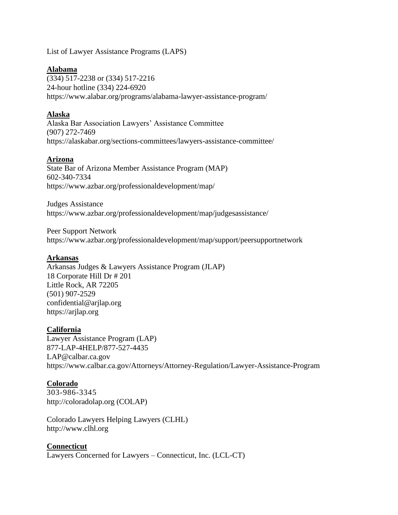List of Lawyer Assistance Programs (LAPS)

## **Alabama**

(334) 517-2238 or (334) 517-2216 24-hour hotline (334) 224-6920 https://www.alabar.org/programs/alabama-lawyer-assistance-program/

## **Alaska**

Alaska Bar Association Lawyers' Assistance Committee (907) 272-7469 https://alaskabar.org/sections-committees/lawyers-assistance-committee/

## **Arizona**

State Bar of Arizona Member Assistance Program (MAP) 602-340-7334 https://www.azbar.org/professionaldevelopment/map/

Judges Assistance https://www.azbar.org/professionaldevelopment/map/judgesassistance/

Peer Support Network https://www.azbar.org/professionaldevelopment/map/support/peersupportnetwork

## **Arkansas**

Arkansas Judges & Lawyers Assistance Program (JLAP) 18 Corporate Hill Dr # 201 Little Rock, AR 72205 (501) 907-2529 confidential@arjlap.org https://arjlap.org

# **California**

Lawyer Assistance Program (LAP) 877-LAP-4HELP/877-527-4435 LAP@calbar.ca.gov https://www.calbar.ca.gov/Attorneys/Attorney-Regulation/Lawyer-Assistance-Program

## **Colorado**

303-986-3345 http://coloradolap.org (COLAP)

Colorado Lawyers Helping Lawyers (CLHL) http://www.clhl.org

# **Connecticut**

Lawyers Concerned for Lawyers – Connecticut, Inc. (LCL-CT)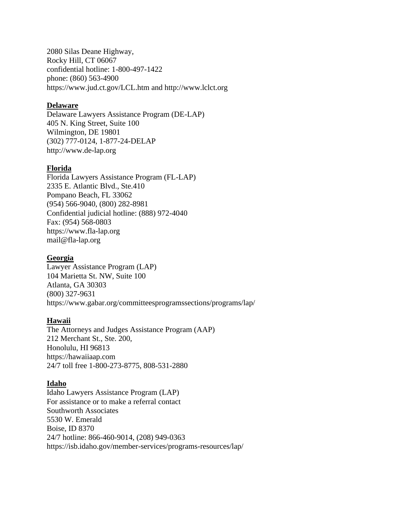2080 Silas Deane Highway, Rocky Hill, CT 06067 confidential hotline: 1-800-497-1422 phone: (860) 563-4900 https://www.jud.ct.gov/LCL.htm and http://www.lclct.org

#### **Delaware**

Delaware Lawyers Assistance Program (DE-LAP) 405 N. King Street, Suite 100 Wilmington, DE 19801 (302) 777-0124, 1-877-24-DELAP http://www.de-lap.org

## **Florida**

Florida Lawyers Assistance Program (FL-LAP) 2335 E. Atlantic Blvd., Ste.410 Pompano Beach, FL 33062 (954) 566-9040, (800) 282-8981 Confidential judicial hotline: (888) 972-4040 Fax: (954) 568-0803 https://www.fla-lap.org mail@fla-lap.org

## **Georgia**

Lawyer Assistance Program (LAP) 104 Marietta St. NW, Suite 100 Atlanta, GA 30303 (800) 327-9631 https://www.gabar.org/committeesprogramssections/programs/lap/

## **Hawaii**

The Attorneys and Judges Assistance Program (AAP) 212 Merchant St., Ste. 200, Honolulu, HI 96813 https://hawaiiaap.com 24/7 toll free 1-800-273-8775, 808-531-2880

## **Idaho**

Idaho Lawyers Assistance Program (LAP) For assistance or to make a referral contact Southworth Associates 5530 W. Emerald Boise, ID 8370 24/7 hotline: 866-460-9014, (208) 949-0363 https://isb.idaho.gov/member-services/programs-resources/lap/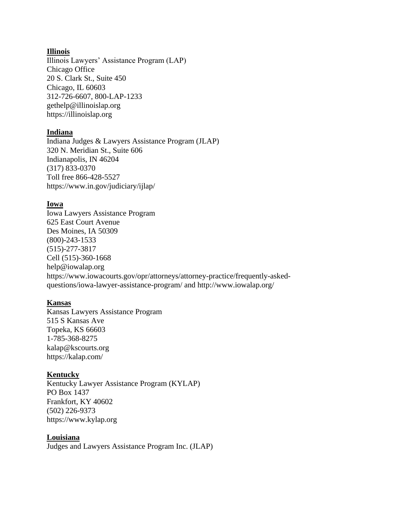## **Illinois**

Illinois Lawyers' Assistance Program (LAP) Chicago Office 20 S. Clark St., Suite 450 Chicago, IL 60603 312-726-6607, 800-LAP-1233 gethelp@illinoislap.org https://illinoislap.org

#### **Indiana**

Indiana Judges & Lawyers Assistance Program (JLAP) 320 N. Meridian St., Suite 606 Indianapolis, IN 46204 (317) 833-0370 Toll free 866-428-5527 https://www.in.gov/judiciary/ijlap/

#### **Iowa**

Iowa Lawyers Assistance Program 625 East Court Avenue Des Moines, IA 50309 (800)-243-1533 (515)-277-3817 Cell (515)-360-1668 help@iowalap.org https://www.iowacourts.gov/opr/attorneys/attorney-practice/frequently-askedquestions/iowa-lawyer-assistance-program/ and http://www.iowalap.org/

## **Kansas**

Kansas Lawyers Assistance Program 515 S Kansas Ave Topeka, KS 66603 1-785-368-8275 kalap@kscourts.org https://kalap.com/

## **Kentucky**

Kentucky Lawyer Assistance Program (KYLAP) PO Box 1437 Frankfort, KY 40602 (502) 226-9373 https://www.kylap.org

## **Louisiana**

Judges and Lawyers Assistance Program Inc. (JLAP)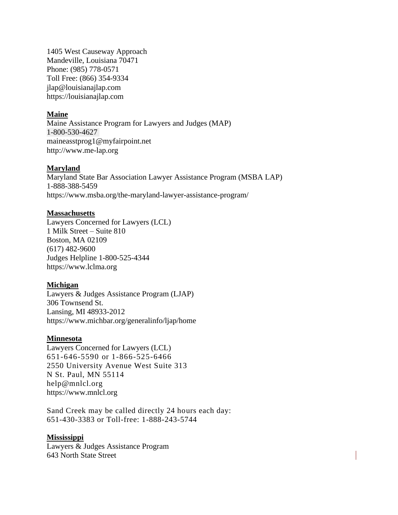1405 West Causeway Approach Mandeville, Louisiana 70471 Phone: (985) 778-0571 Toll Free: (866) 354-9334 jlap@louisianajlap.com https://louisianajlap.com

#### **Maine**

Maine Assistance Program for Lawyers and Judges (MAP) 1-800-530-4627 maineasstprog1@myfairpoint.net http://www.me-lap.org

#### **Maryland**

Maryland State Bar Association Lawyer Assistance Program (MSBA LAP) 1-888-388-5459 https://www.msba.org/the-maryland-lawyer-assistance-program/

#### **Massachusetts**

Lawyers Concerned for Lawyers (LCL) 1 Milk Street – Suite 810 Boston, MA 02109 (617) 482-9600 Judges Helpline 1-800-525-4344 https://www.lclma.org

## **Michigan**

Lawyers & Judges Assistance Program (LJAP) 306 Townsend St. Lansing, MI 48933-2012 https://www.michbar.org/generalinfo/ljap/home

#### **Minnesota**

Lawyers Concerned for Lawyers (LCL) 651-646-5590 or 1-866-525-6466 2550 University Avenue West Suite 313 N St. Paul, MN 55114 help@mnlcl.org https://www.mnlcl.org

Sand Creek may be called directly 24 hours each day: 651-430-3383 or Toll-free: 1-888-243-5744

#### **Mississippi**

Lawyers & Judges Assistance Program 643 North State Street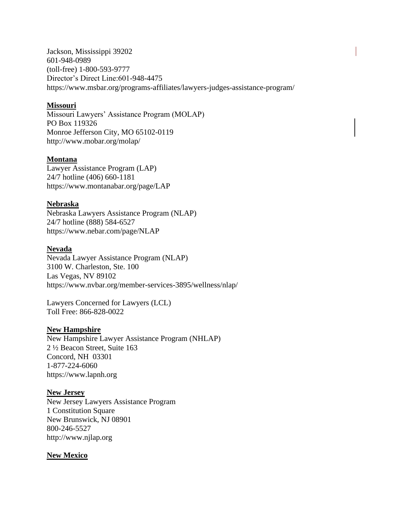Jackson, Mississippi 39202 601-948-0989 (toll-free) 1-800-593-9777 Director's Direct Line:601-948-4475 https://www.msbar.org/programs-affiliates/lawyers-judges-assistance-program/

## **Missouri**

Missouri Lawyers' Assistance Program (MOLAP) PO Box 119326 Monroe Jefferson City, MO 65102-0119 http://www.mobar.org/molap/

## **Montana**

Lawyer Assistance Program (LAP) 24/7 hotline (406) 660-1181 https://www.montanabar.org/page/LAP

## **Nebraska**

Nebraska Lawyers Assistance Program (NLAP) 24/7 hotline (888) 584-6527 https://www.nebar.com/page/NLAP

## **Nevada**

Nevada Lawyer Assistance Program (NLAP) 3100 W. Charleston, Ste. 100 Las Vegas, NV 89102 https://www.nvbar.org/member-services-3895/wellness/nlap/

Lawyers Concerned for Lawyers (LCL) Toll Free: 866-828-0022

# **New Hampshire**

New Hampshire Lawyer Assistance Program (NHLAP) 2 ½ Beacon Street, Suite 163 Concord, NH 03301 1-877-224-6060 https://www.lapnh.org

## **New Jersey**

New Jersey Lawyers Assistance Program 1 Constitution Square New Brunswick, NJ 08901 800-246-5527 http://www.njlap.org

# **New Mexico**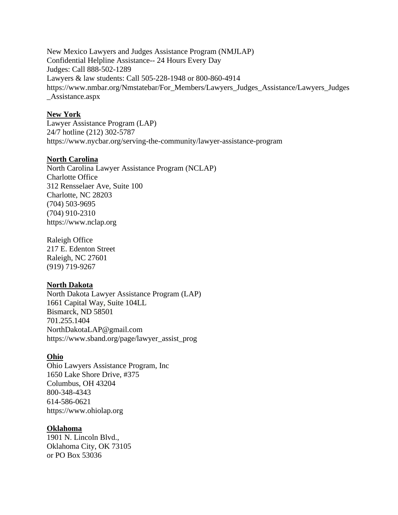New Mexico Lawyers and Judges Assistance Program (NMJLAP) Confidential Helpline Assistance-- 24 Hours Every Day Judges: Call 888-502-1289 Lawyers & law students: Call 505-228-1948 or 800-860-4914 https://www.nmbar.org/Nmstatebar/For\_Members/Lawyers\_Judges\_Assistance/Lawyers\_Judges \_Assistance.aspx

#### **New York**

Lawyer Assistance Program (LAP) 24/7 hotline (212) 302-5787 https://www.nycbar.org/serving-the-community/lawyer-assistance-program

#### **North Carolina**

North Carolina Lawyer Assistance Program (NCLAP) Charlotte Office 312 Rensselaer Ave, Suite 100 Charlotte, NC 28203 (704) 503-9695 (704) 910-2310 https://www.nclap.org

Raleigh Office 217 E. Edenton Street Raleigh, NC 27601 (919) 719-9267

#### **North Dakota**

North Dakota Lawyer Assistance Program (LAP) 1661 Capital Way, Suite 104LL Bismarck, ND 58501 701.255.1404 NorthDakotaLAP@gmail.com https://www.sband.org/page/lawyer\_assist\_prog

#### **Ohio**

Ohio Lawyers Assistance Program, Inc 1650 Lake Shore Drive, #375 Columbus, OH 43204 800-348-4343 614-586-0621 https://www.ohiolap.org

#### **Oklahoma**

1901 N. Lincoln Blvd., Oklahoma City, OK 73105 or PO Box 53036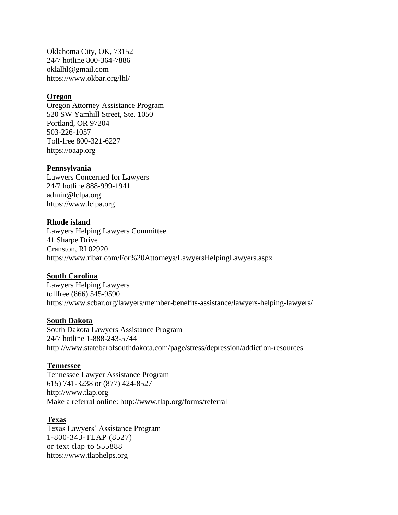Oklahoma City, OK, 73152 24/7 hotline 800-364-7886 oklalhl@gmail.com https://www.okbar.org/lhl/

## **Oregon**

Oregon Attorney Assistance Program 520 SW Yamhill Street, Ste. 1050 Portland, OR 97204 503-226-1057 Toll-free 800-321-6227 https://oaap.org

#### **Pennsylvania**

Lawyers Concerned for Lawyers 24/7 hotline 888-999-1941 admin@lclpa.org https://www.lclpa.org

#### **Rhode island**

Lawyers Helping Lawyers Committee 41 Sharpe Drive Cranston, RI 02920 https://www.ribar.com/For%20Attorneys/LawyersHelpingLawyers.aspx

#### **South Carolina**

Lawyers Helping Lawyers tollfree (866) 545-9590 https://www.scbar.org/lawyers/member-benefits-assistance/lawyers-helping-lawyers/

#### **South Dakota**

South Dakota Lawyers Assistance Program 24/7 hotline 1-888-243-5744 http://www.statebarofsouthdakota.com/page/stress/depression/addiction-resources

#### **Tennessee**

Tennessee Lawyer Assistance Program 615) 741-3238 or (877) 424-8527 http://www.tlap.org Make a referral online: http://www.tlap.org/forms/referral

#### **Texas**

Texas Lawyers' Assistance Program 1-800-343-TLAP (8527) or text tlap to 555888 https://www.tlaphelps.org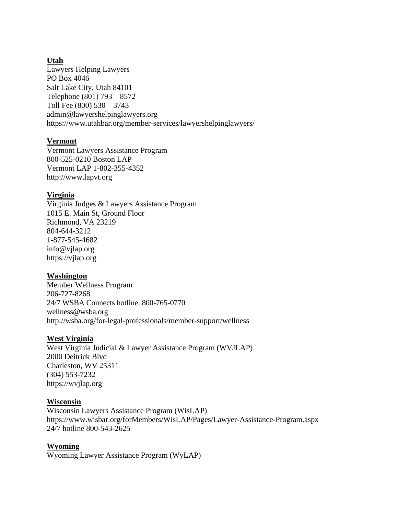# **Utah**

Lawyers Helping Lawyers PO Box 4046 Salt Lake City, Utah 84101 Telephone (801) 793 – 8572 Toll Fee (800) 530 – 3743 admin@lawyershelpinglawyers.org https://www.utahbar.org/member-services/lawyershelpinglawyers/

# **Vermont**

Vermont Lawyers Assistance Program 800-525-0210 Boston LAP Vermont LAP 1-802-355-4352 http://www.lapvt.org

# **Virginia**

Virginia Judges & Lawyers Assistance Program 1015 E. Main St, Ground Floor Richmond, VA 23219 804-644-3212 1-877-545-4682 info@vjlap.org https://vjlap.org

# **Washington**

Member Wellness Program 206-727-8268 24/7 WSBA Connects hotline: 800-765-0770 wellness@wsba.org http://wsba.org/for-legal-professionals/member-support/wellness

# **West Virginia**

West Virginia Judicial & Lawyer Assistance Program (WVJLAP) 2000 Deitrick Blvd Charleston, WV 25311 (304) 553-7232 https://wvjlap.org

# **Wisconsin**

Wisconsin Lawyers Assistance Program (WisLAP) https://www.wisbar.org/forMembers/WisLAP/Pages/Lawyer-Assistance-Program.aspx 24/7 hotline 800-543-2625

# **Wyoming**

Wyoming Lawyer Assistance Program (WyLAP)